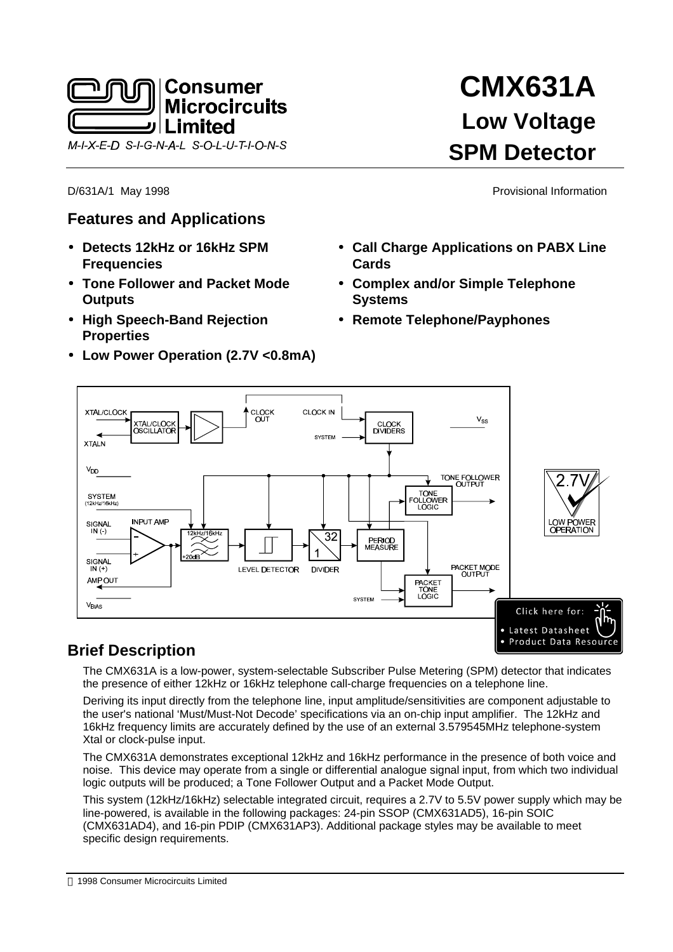

# **Features and Applications**

- **Detects 12kHz or 16kHz SPM Frequencies**
- **Tone Follower and Packet Mode Outputs**
- **High Speech-Band Rejection Properties**
- **Low Power Operation (2.7V <0.8mA)**

# **CMX631A Low Voltage SPM Detector**

D/631A/1 May 1998 Provisional Information

- **Call Charge Applications on PABX Line Cards**
- **Complex and/or Simple Telephone Systems**
- **Remote Telephone/Payphones**



# **Brief Description**

The CMX631A is a low-power, system-selectable Subscriber Pulse Metering (SPM) detector that indicates the presence of either 12kHz or 16kHz telephone call-charge frequencies on a telephone line.

Deriving its input directly from the telephone line, input amplitude/sensitivities are component adjustable to the user's national 'Must/Must-Not Decode' specifications via an on-chip input amplifier. The 12kHz and 16kHz frequency limits are accurately defined by the use of an external 3.579545MHz telephone-system Xtal or clock-pulse input.

The CMX631A demonstrates exceptional 12kHz and 16kHz performance in the presence of both voice and noise. This device may operate from a single or differential analogue signal input, from which two individual logic outputs will be produced; a Tone Follower Output and a Packet Mode Output.

This system (12kHz/16kHz) selectable integrated circuit, requires a 2.7V to 5.5V power supply which may be line-powered, is available in the following packages: 24-pin SSOP (CMX631AD5), 16-pin SOIC (CMX631AD4), and 16-pin PDIP (CMX631AP3). Additional package styles may be available to meet specific design requirements.

1998 Consumer Microcircuits Limited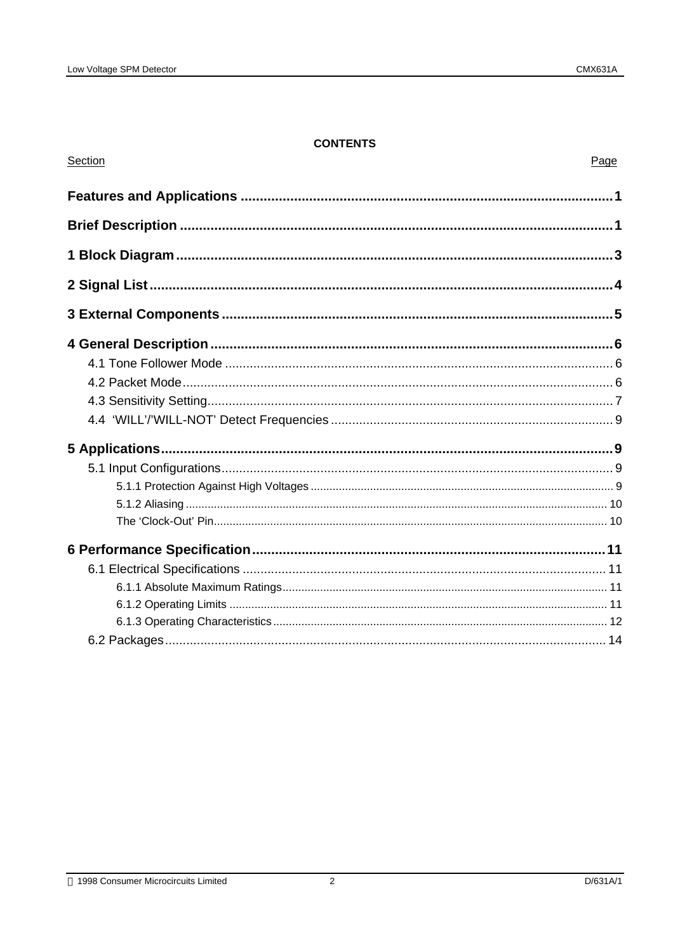### **CONTENTS**

| Section | Page |
|---------|------|
|         |      |
|         |      |
|         |      |
|         |      |
|         |      |
|         |      |
|         |      |
|         |      |
|         |      |
|         |      |
|         |      |
|         |      |
|         |      |
|         |      |
|         |      |
|         |      |
|         |      |
|         |      |
|         |      |
|         |      |
|         |      |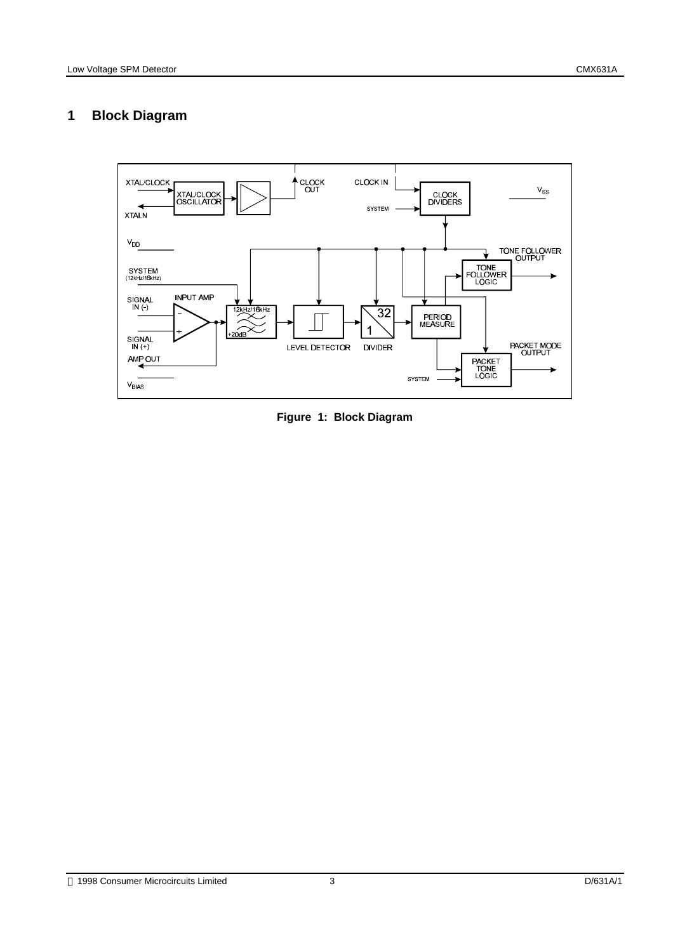# **1 Block Diagram**



**Figure 1: Block Diagram**

1998 Consumer Microcircuits Limited 3 D/631A/1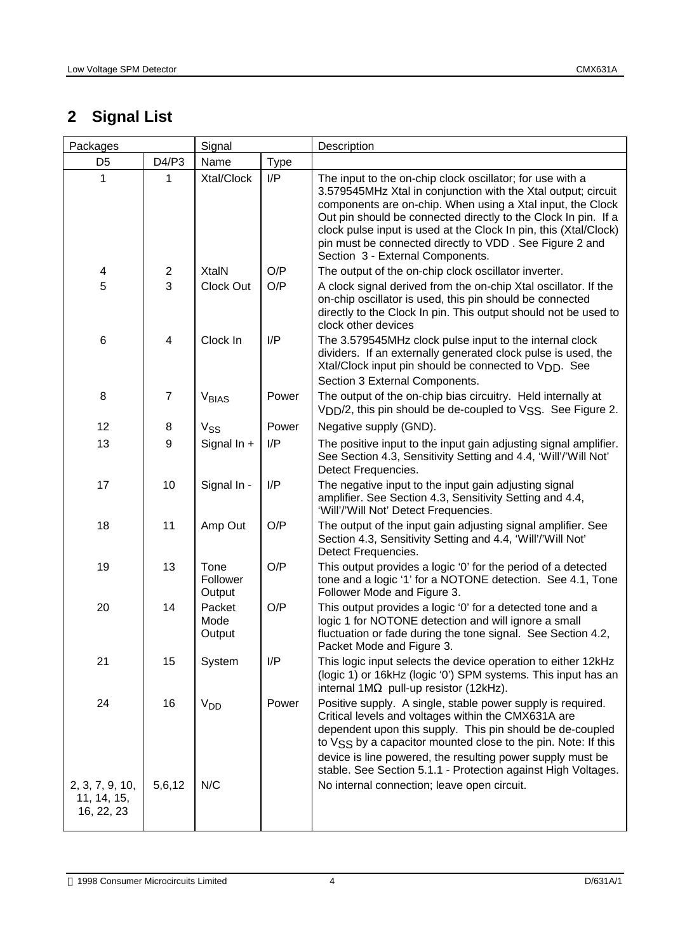# **2 Signal List**

| Packages                                     |                | Signal                     |             | Description                                                                                                                                                                                                                                                                                                                                                                                                                   |
|----------------------------------------------|----------------|----------------------------|-------------|-------------------------------------------------------------------------------------------------------------------------------------------------------------------------------------------------------------------------------------------------------------------------------------------------------------------------------------------------------------------------------------------------------------------------------|
| D <sub>5</sub>                               | D4/P3          | Name                       | <b>Type</b> |                                                                                                                                                                                                                                                                                                                                                                                                                               |
| 1                                            | 1              | Xtal/Clock                 | I/P         | The input to the on-chip clock oscillator; for use with a<br>3.579545MHz Xtal in conjunction with the Xtal output; circuit<br>components are on-chip. When using a Xtal input, the Clock<br>Out pin should be connected directly to the Clock In pin. If a<br>clock pulse input is used at the Clock In pin, this (Xtal/Clock)<br>pin must be connected directly to VDD. See Figure 2 and<br>Section 3 - External Components. |
| $\overline{\mathcal{A}}$                     | $\overline{2}$ | <b>XtalN</b>               | O/P         | The output of the on-chip clock oscillator inverter.                                                                                                                                                                                                                                                                                                                                                                          |
| 5                                            | 3              | Clock Out                  | O/P         | A clock signal derived from the on-chip Xtal oscillator. If the<br>on-chip oscillator is used, this pin should be connected<br>directly to the Clock In pin. This output should not be used to<br>clock other devices                                                                                                                                                                                                         |
| $\,6$                                        | 4              | Clock In                   | I/P         | The 3.579545MHz clock pulse input to the internal clock<br>dividers. If an externally generated clock pulse is used, the<br>Xtal/Clock input pin should be connected to V <sub>DD</sub> . See<br>Section 3 External Components.                                                                                                                                                                                               |
| 8                                            | $\overline{7}$ | <b>V<sub>BIAS</sub></b>    | Power       | The output of the on-chip bias circuitry. Held internally at<br>V <sub>DD</sub> /2, this pin should be de-coupled to V <sub>SS</sub> . See Figure 2.                                                                                                                                                                                                                                                                          |
| 12                                           | 8              | $V_{SS}$                   | Power       | Negative supply (GND).                                                                                                                                                                                                                                                                                                                                                                                                        |
| 13                                           | 9              | Signal In +                | I/P         | The positive input to the input gain adjusting signal amplifier.<br>See Section 4.3, Sensitivity Setting and 4.4, 'Will'/'Will Not'<br>Detect Frequencies.                                                                                                                                                                                                                                                                    |
| 17                                           | 10             | Signal In -                | I/P         | The negative input to the input gain adjusting signal<br>amplifier. See Section 4.3, Sensitivity Setting and 4.4,<br>'Will'/'Will Not' Detect Frequencies.                                                                                                                                                                                                                                                                    |
| 18                                           | 11             | Amp Out                    | O/P         | The output of the input gain adjusting signal amplifier. See<br>Section 4.3, Sensitivity Setting and 4.4, 'Will'/'Will Not'<br>Detect Frequencies.                                                                                                                                                                                                                                                                            |
| 19                                           | 13             | Tone<br>Follower<br>Output | O/P         | This output provides a logic '0' for the period of a detected<br>tone and a logic '1' for a NOTONE detection. See 4.1, Tone<br>Follower Mode and Figure 3.                                                                                                                                                                                                                                                                    |
| 20                                           | 14             | Packet<br>Mode<br>Output   | O/P         | This output provides a logic '0' for a detected tone and a<br>logic 1 for NOTONE detection and will ignore a small<br>fluctuation or fade during the tone signal. See Section 4.2,<br>Packet Mode and Figure 3.                                                                                                                                                                                                               |
| 21                                           | 15             | System                     | I/P         | This logic input selects the device operation to either 12kHz<br>(logic 1) or 16kHz (logic '0') SPM systems. This input has an<br>internal $1M\Omega$ pull-up resistor (12kHz).                                                                                                                                                                                                                                               |
| 24                                           | 16             | <b>V<sub>DD</sub></b>      | Power       | Positive supply. A single, stable power supply is required.<br>Critical levels and voltages within the CMX631A are<br>dependent upon this supply. This pin should be de-coupled<br>to VSS by a capacitor mounted close to the pin. Note: If this<br>device is line powered, the resulting power supply must be<br>stable. See Section 5.1.1 - Protection against High Voltages.                                               |
| 2, 3, 7, 9, 10,<br>11, 14, 15,<br>16, 22, 23 | 5,6,12         | N/C                        |             | No internal connection; leave open circuit.                                                                                                                                                                                                                                                                                                                                                                                   |

1998 Consumer Microcircuits Limited 4 D/631A/1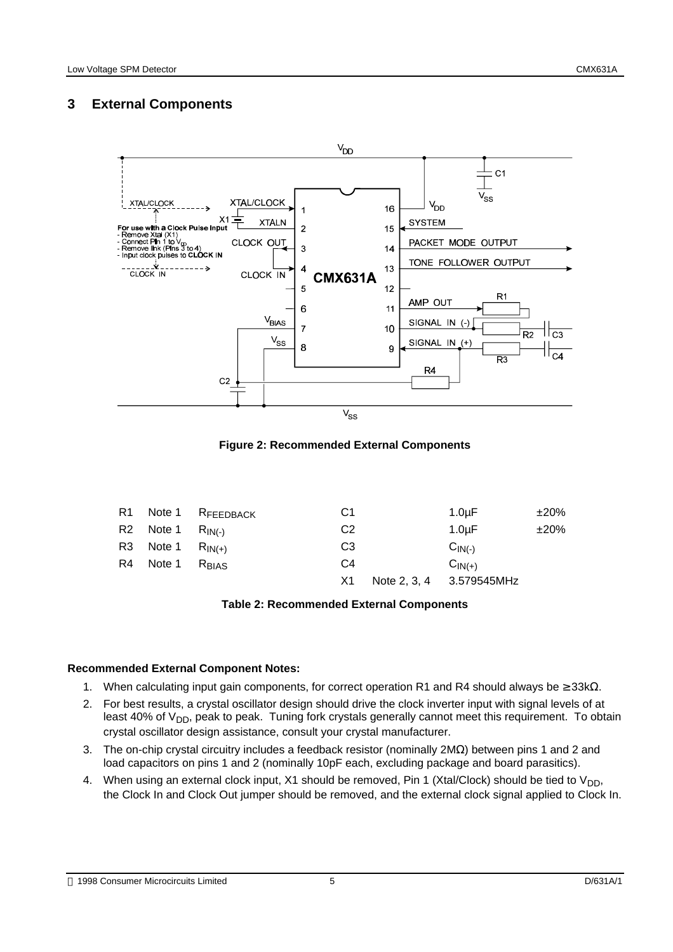### **3 External Components**



**Figure 2: Recommended External Components**

| R1 |                       | Note 1 R <sub>FEEDBACK</sub> | C1             | $1.0 \mu F$              | ±20% |
|----|-----------------------|------------------------------|----------------|--------------------------|------|
|    | R2 Note 1 $R_{IN(-)}$ |                              | C <sub>2</sub> | $1.0 \mu F$              | ±20% |
| R3 | Note 1 $R_{IN(+)}$    |                              | C3             | $CIN(-)$                 |      |
| R4 | Note 1                | R <sub>rias</sub>            | C4             | $CIN(+)$                 |      |
|    |                       |                              | X1             | Note 2, 3, 4 3.579545MHz |      |

#### **Table 2: Recommended External Components**

#### **Recommended External Component Notes:**

- 1. When calculating input gain components, for correct operation R1 and R4 should always be ≥ 33kΩ.
- 2. For best results, a crystal oscillator design should drive the clock inverter input with signal levels of at least 40% of V<sub>DD</sub>, peak to peak. Tuning fork crystals generally cannot meet this requirement. To obtain crystal oscillator design assistance, consult your crystal manufacturer.
- 3. The on-chip crystal circuitry includes a feedback resistor (nominally 2MΩ) between pins 1 and 2 and load capacitors on pins 1 and 2 (nominally 10pF each, excluding package and board parasitics).
- 4. When using an external clock input, X1 should be removed, Pin 1 (Xtal/Clock) should be tied to  $V_{DD}$ , the Clock In and Clock Out jumper should be removed, and the external clock signal applied to Clock In.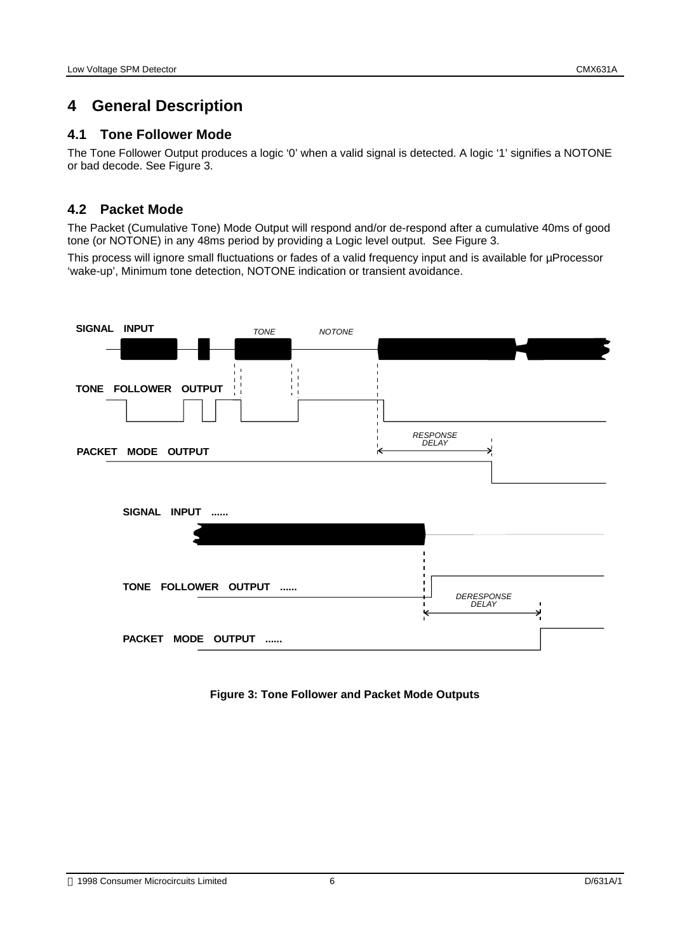# **4 General Description**

### **4.1 Tone Follower Mode**

The Tone Follower Output produces a logic '0' when a valid signal is detected. A logic '1' signifies a NOTONE or bad decode. See Figure 3.

# **4.2 Packet Mode**

The Packet (Cumulative Tone) Mode Output will respond and/or de-respond after a cumulative 40ms of good tone (or NOTONE) in any 48ms period by providing a Logic level output. See Figure 3.

This process will ignore small fluctuations or fades of a valid frequency input and is available for µProcessor 'wake-up', Minimum tone detection, NOTONE indication or transient avoidance.



### **Figure 3: Tone Follower and Packet Mode Outputs**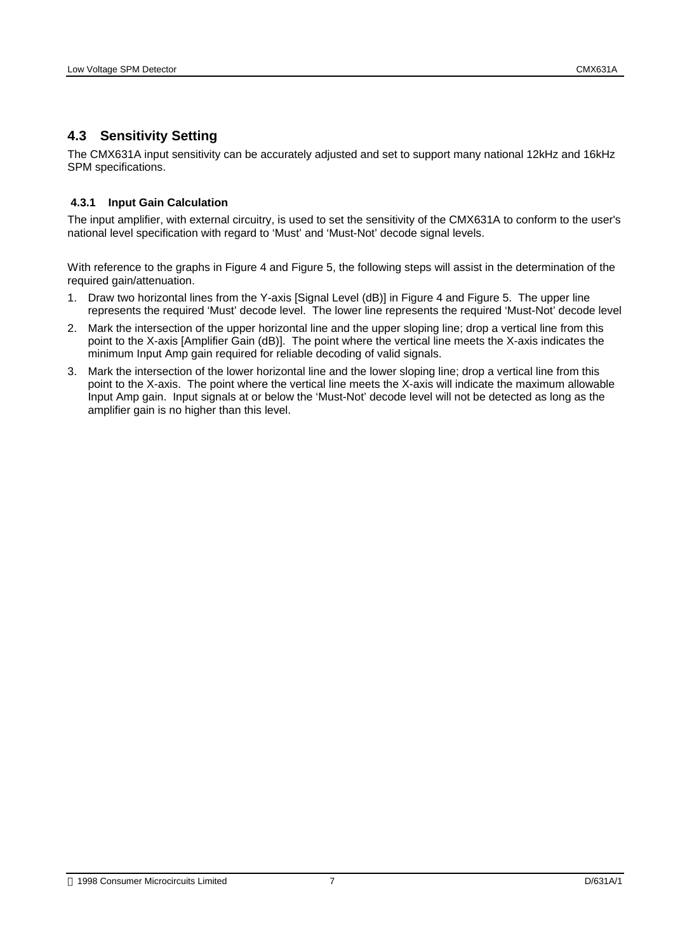### **4.3 Sensitivity Setting**

The CMX631A input sensitivity can be accurately adjusted and set to support many national 12kHz and 16kHz SPM specifications.

### **4.3.1 Input Gain Calculation**

The input amplifier, with external circuitry, is used to set the sensitivity of the CMX631A to conform to the user's national level specification with regard to 'Must' and 'Must-Not' decode signal levels.

With reference to the graphs in Figure 4 and Figure 5, the following steps will assist in the determination of the required gain/attenuation.

- 1. Draw two horizontal lines from the Y-axis [Signal Level (dB)] in Figure 4 and Figure 5. The upper line represents the required 'Must' decode level. The lower line represents the required 'Must-Not' decode level
- 2. Mark the intersection of the upper horizontal line and the upper sloping line; drop a vertical line from this point to the X-axis [Amplifier Gain (dB)]. The point where the vertical line meets the X-axis indicates the minimum Input Amp gain required for reliable decoding of valid signals.
- 3. Mark the intersection of the lower horizontal line and the lower sloping line; drop a vertical line from this point to the X-axis. The point where the vertical line meets the X-axis will indicate the maximum allowable Input Amp gain. Input signals at or below the 'Must-Not' decode level will not be detected as long as the amplifier gain is no higher than this level.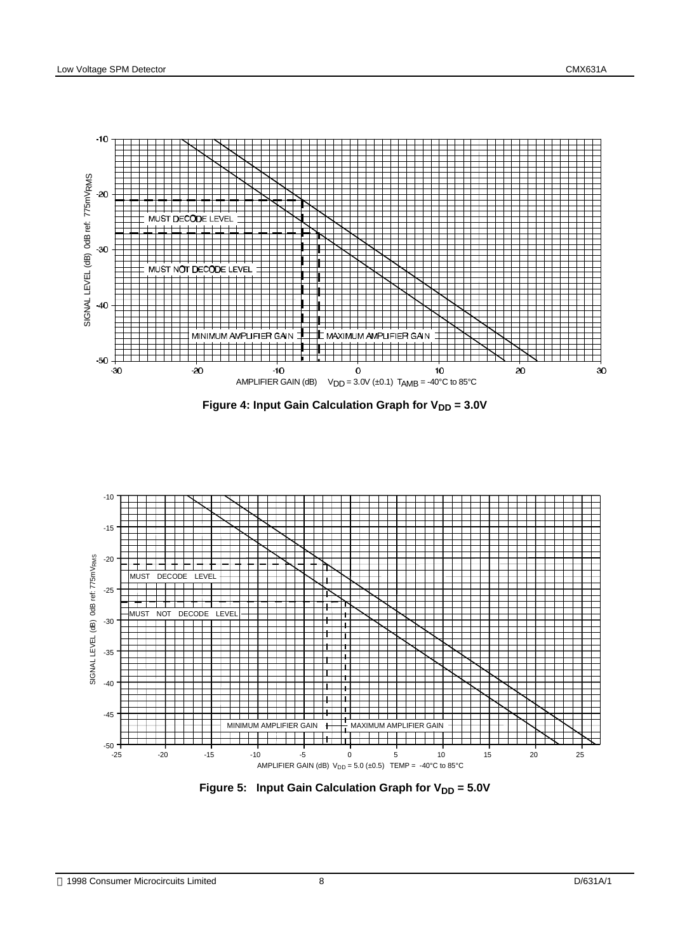

**Figure 4: Input Gain Calculation Graph for**  $V_{DD} = 3.0V$ 



**Figure 5: Input Gain Calculation Graph for**  $V_{DD} = 5.0V$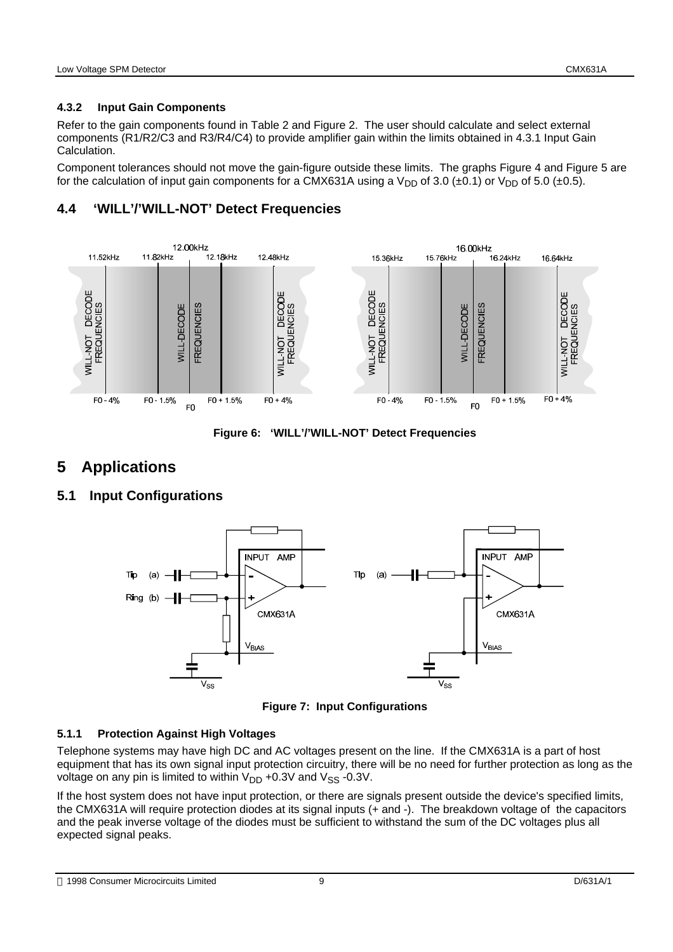#### **4.3.2 Input Gain Components**

Refer to the gain components found in Table 2 and Figure 2. The user should calculate and select external components (R1/R2/C3 and R3/R4/C4) to provide amplifier gain within the limits obtained in 4.3.1 Input Gain Calculation.

Component tolerances should not move the gain-figure outside these limits. The graphs Figure 4 and Figure 5 are for the calculation of input gain components for a CMX631A using a  $V_{DD}$  of 3.0 (±0.1) or  $V_{DD}$  of 5.0 (±0.5).

# **4.4 'WILL'/'WILL-NOT' Detect Frequencies**



**Figure 6: 'WILL'/'WILL-NOT' Detect Frequencies**

# **5 Applications**

### **5.1 Input Configurations**



**Figure 7: Input Configurations**

### **5.1.1 Protection Against High Voltages**

Telephone systems may have high DC and AC voltages present on the line. If the CMX631A is a part of host equipment that has its own signal input protection circuitry, there will be no need for further protection as long as the voltage on any pin is limited to within  $V_{DD}$  +0.3V and  $V_{SS}$  -0.3V.

If the host system does not have input protection, or there are signals present outside the device's specified limits, the CMX631A will require protection diodes at its signal inputs (+ and -). The breakdown voltage of the capacitors and the peak inverse voltage of the diodes must be sufficient to withstand the sum of the DC voltages plus all expected signal peaks.

1998 Consumer Microcircuits Limited 9 D/631A/1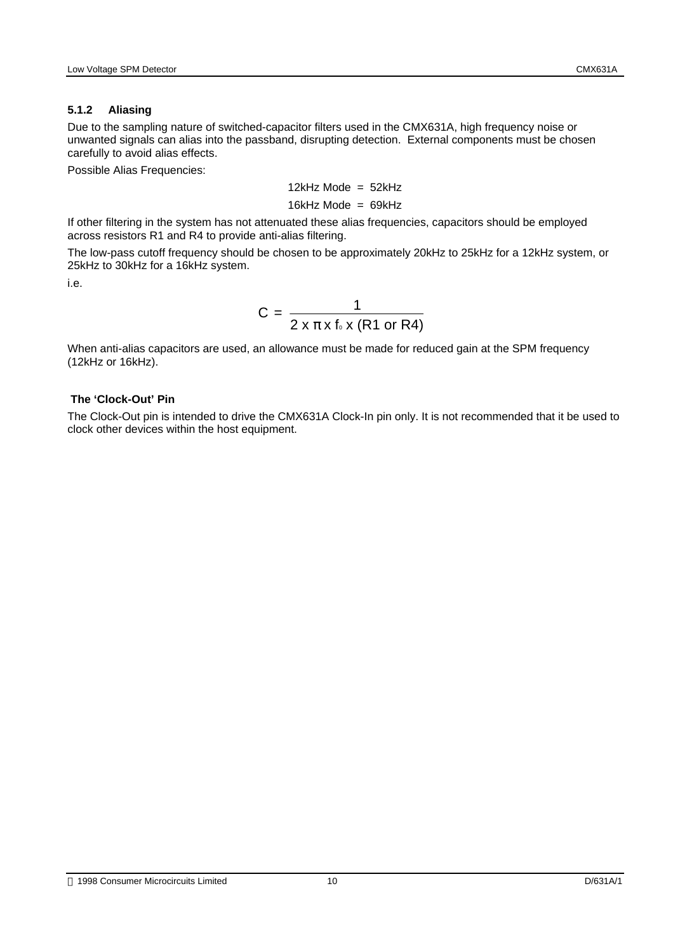#### **5.1.2 Aliasing**

Due to the sampling nature of switched-capacitor filters used in the CMX631A, high frequency noise or unwanted signals can alias into the passband, disrupting detection. External components must be chosen carefully to avoid alias effects.

Possible Alias Frequencies:

$$
12kHz Mode = 52kHz
$$
  

$$
16kHz Mode = 69kHz
$$

If other filtering in the system has not attenuated these alias frequencies, capacitors should be employed across resistors R1 and R4 to provide anti-alias filtering.

The low-pass cutoff frequency should be chosen to be approximately 20kHz to 25kHz for a 12kHz system, or 25kHz to 30kHz for a 16kHz system.

i.e.

$$
C = \frac{1}{2 \times \pi \times f_0 \times (R1 \text{ or } R4)}
$$

When anti-alias capacitors are used, an allowance must be made for reduced gain at the SPM frequency (12kHz or 16kHz).

#### **The 'Clock-Out' Pin**

The Clock-Out pin is intended to drive the CMX631A Clock-In pin only. It is not recommended that it be used to clock other devices within the host equipment.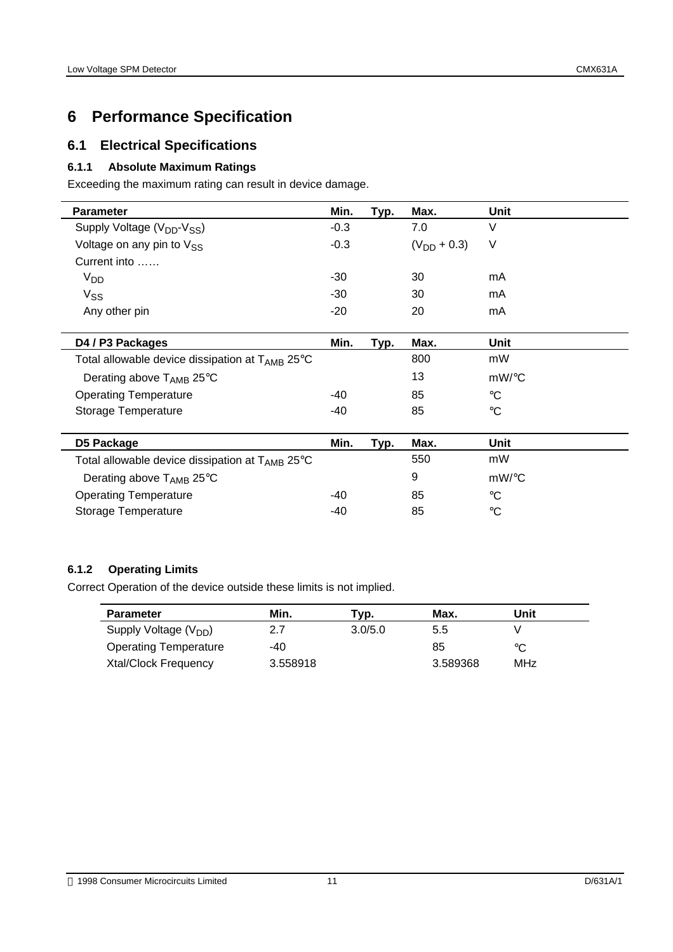# **6 Performance Specification**

# **6.1 Electrical Specifications**

### **6.1.1 Absolute Maximum Ratings**

Exceeding the maximum rating can result in device damage.

| <b>Parameter</b>                                                          | Min.   | Typ. | Max.             | Unit            |
|---------------------------------------------------------------------------|--------|------|------------------|-----------------|
| Supply Voltage (V <sub>DD</sub> -V <sub>SS</sub> )                        | $-0.3$ |      | 7.0              | V               |
| Voltage on any pin to V <sub>SS</sub>                                     | $-0.3$ |      | $(V_{DD} + 0.3)$ | V               |
| Current into                                                              |        |      |                  |                 |
| V <sub>DD</sub>                                                           | $-30$  |      | 30               | mA              |
| $V_{SS}$                                                                  | $-30$  |      | 30               | mA              |
| Any other pin                                                             | $-20$  |      | 20               | mA              |
|                                                                           |        |      |                  |                 |
| D4 / P3 Packages                                                          | Min.   | Typ. | Max.             | <b>Unit</b>     |
| Total allowable device dissipation at $T_{\text{AMB}}$ 25 $\textdegree$ C |        |      | 800              | mW              |
| Derating above T <sub>AMB</sub> 25°C                                      |        |      | 13               | mW/°C           |
| <b>Operating Temperature</b>                                              | -40    |      | 85               | $\rm ^{\circ}C$ |
| Storage Temperature                                                       | -40    |      | 85               | $\rm ^{\circ}C$ |
|                                                                           |        |      |                  |                 |
| D5 Package                                                                | Min.   | Typ. | Max.             | <b>Unit</b>     |
| Total allowable device dissipation at $T_{\text{AMB}}$ 25 $\textdegree$ C |        |      | 550              | mW              |
| Derating above $T_{AMB}$ 25°C                                             |        |      | 9                | $mW$ /°C        |
| <b>Operating Temperature</b>                                              | -40    |      | 85               | $\rm ^{\circ}C$ |
| Storage Temperature                                                       | -40    |      | 85               | $^{\circ}C$     |

### **6.1.2 Operating Limits**

Correct Operation of the device outside these limits is not implied.

| <b>Parameter</b>                  | Min.     | Typ.    | Max.     | Unit       |  |
|-----------------------------------|----------|---------|----------|------------|--|
| Supply Voltage (V <sub>DD</sub> ) | 2.7      | 3.0/5.0 | 5.5      |            |  |
| <b>Operating Temperature</b>      | -40      |         | 85       | °C         |  |
| <b>Xtal/Clock Frequency</b>       | 3.558918 |         | 3.589368 | <b>MHz</b> |  |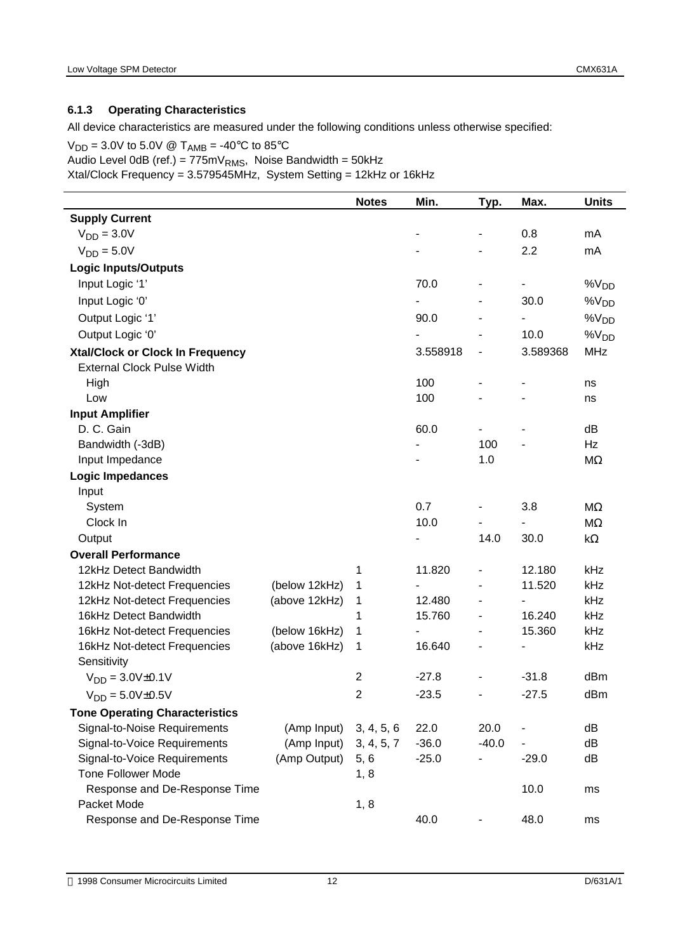### **6.1.3 Operating Characteristics**

All device characteristics are measured under the following conditions unless otherwise specified:

 $V_{DD} = 3.0V$  to 5.0V @ T<sub>AMB</sub> = -40°C to 85°C Audio Level 0dB (ref.) =  $775mV<sub>RMS</sub>$ , Noise Bandwidth =  $50kHz$ Xtal/Clock Frequency = 3.579545MHz, System Setting = 12kHz or 16kHz

|                                         |               | <b>Notes</b>   | Min.     | Typ.                         | Max.                         | <b>Units</b> |
|-----------------------------------------|---------------|----------------|----------|------------------------------|------------------------------|--------------|
| <b>Supply Current</b>                   |               |                |          |                              |                              |              |
| $V_{DD} = 3.0V$                         |               |                |          |                              | 0.8                          | mA           |
| $V_{DD} = 5.0V$                         |               |                |          |                              | 2.2                          | mA           |
| <b>Logic Inputs/Outputs</b>             |               |                |          |                              |                              |              |
| Input Logic '1'                         |               |                | 70.0     | ÷,                           | $\qquad \qquad \blacksquare$ | $\%V_{DD}$   |
| Input Logic '0'                         |               |                | ÷,       | ÷,                           | 30.0                         | $\%V_{DD}$   |
| Output Logic '1'                        |               |                | 90.0     |                              |                              | $\%V_{DD}$   |
| Output Logic '0'                        |               |                |          | L,                           | 10.0                         | $\%V_{DD}$   |
| <b>Xtal/Clock or Clock In Frequency</b> |               |                | 3.558918 |                              | 3.589368                     | <b>MHz</b>   |
| <b>External Clock Pulse Width</b>       |               |                |          |                              |                              |              |
| High                                    |               |                | 100      |                              |                              | ns           |
| Low                                     |               |                | 100      |                              |                              | ns           |
| <b>Input Amplifier</b>                  |               |                |          |                              |                              |              |
| D. C. Gain                              |               |                | 60.0     |                              |                              | dB           |
| Bandwidth (-3dB)                        |               |                |          | 100                          |                              | Hz           |
| Input Impedance                         |               |                |          | 1.0                          |                              | $M\Omega$    |
| <b>Logic Impedances</b>                 |               |                |          |                              |                              |              |
| Input                                   |               |                |          |                              |                              |              |
| System                                  |               |                | 0.7      |                              | 3.8                          | $M\Omega$    |
| Clock In                                |               |                | 10.0     |                              | $\overline{\phantom{0}}$     | $M\Omega$    |
| Output                                  |               |                |          | 14.0                         | 30.0                         | k $\Omega$   |
| <b>Overall Performance</b>              |               |                |          |                              |                              |              |
| 12kHz Detect Bandwidth                  |               | 1              | 11.820   | -                            | 12.180                       | kHz          |
| 12kHz Not-detect Frequencies            | (below 12kHz) | 1              | ä,       |                              | 11.520                       | kHz          |
| 12kHz Not-detect Frequencies            | (above 12kHz) | 1              | 12.480   |                              |                              | kHz          |
| 16kHz Detect Bandwidth                  |               | 1              | 15.760   | $\qquad \qquad \blacksquare$ | 16.240                       | kHz          |
| 16kHz Not-detect Frequencies            | (below 16kHz) | 1              |          |                              | 15.360                       | kHz          |
| 16kHz Not-detect Frequencies            | (above 16kHz) | 1              | 16.640   | ÷                            | ÷,                           | kHz          |
| Sensitivity                             |               |                |          |                              |                              |              |
| $V_{DD} = 3.0 V \pm 0.1 V$              |               | $\overline{2}$ | $-27.8$  | ÷                            | $-31.8$                      | dBm          |
| $V_{DD} = 5.0 V \pm 0.5 V$              |               | $\overline{2}$ | $-23.5$  | -                            | $-27.5$                      | dBm          |
| <b>Tone Operating Characteristics</b>   |               |                |          |                              |                              |              |
| Signal-to-Noise Requirements            | (Amp Input)   | 3, 4, 5, 6     | 22.0     | 20.0                         |                              | dB           |
| Signal-to-Voice Requirements            | (Amp Input)   | 3, 4, 5, 7     | $-36.0$  | $-40.0$                      |                              | dB           |
| Signal-to-Voice Requirements            | (Amp Output)  | 5, 6           | $-25.0$  |                              | $-29.0$                      | dB           |
| <b>Tone Follower Mode</b>               |               | 1, 8           |          |                              |                              |              |
| Response and De-Response Time           |               |                |          |                              | 10.0                         | ms           |
| Packet Mode                             |               | 1, 8           |          |                              |                              |              |
| Response and De-Response Time           |               |                | 40.0     |                              | 48.0                         | ms           |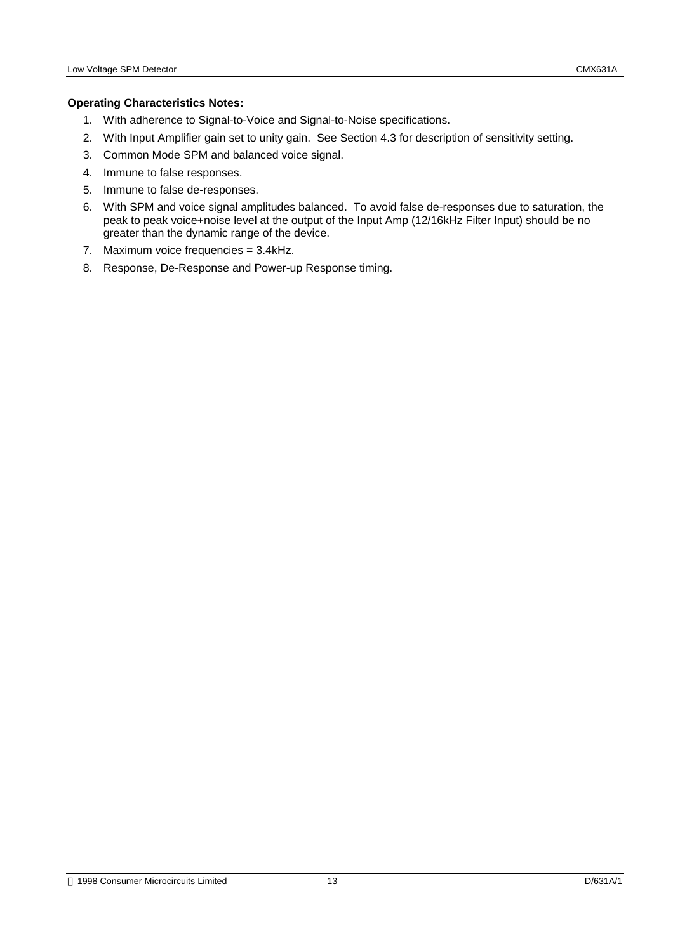#### **Operating Characteristics Notes:**

- 1. With adherence to Signal-to-Voice and Signal-to-Noise specifications.
- 2. With Input Amplifier gain set to unity gain. See Section 4.3 for description of sensitivity setting.
- 3. Common Mode SPM and balanced voice signal.
- 4. Immune to false responses.
- 5. Immune to false de-responses.
- 6. With SPM and voice signal amplitudes balanced. To avoid false de-responses due to saturation, the peak to peak voice+noise level at the output of the Input Amp (12/16kHz Filter Input) should be no greater than the dynamic range of the device.
- 7. Maximum voice frequencies = 3.4kHz.
- 8. Response, De-Response and Power-up Response timing.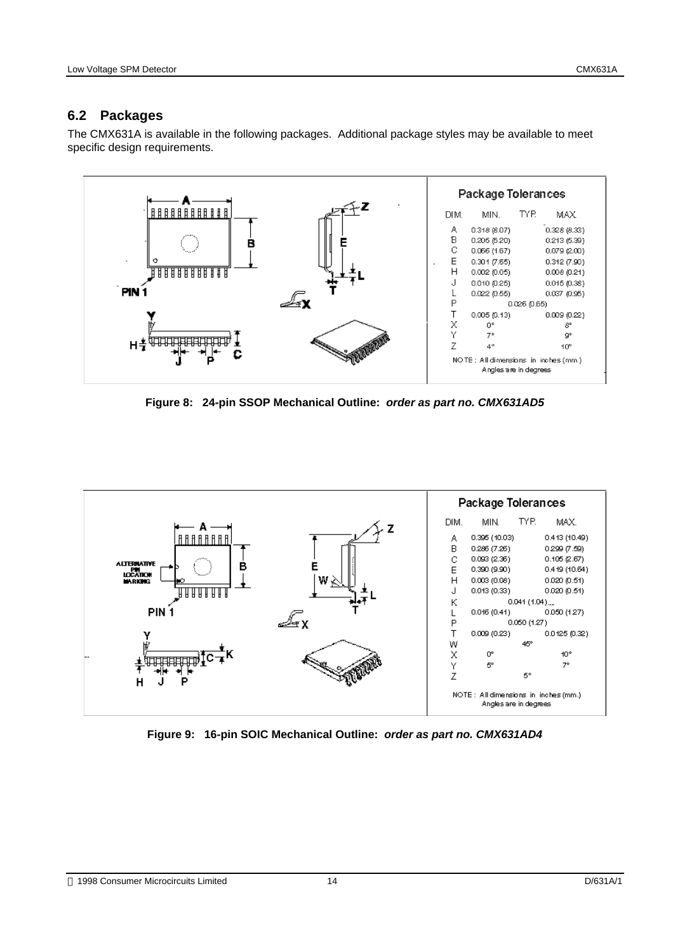### **6.2 Packages**

The CMX631A is available in the following packages. Additional package styles may be available to meet specific design requirements.



**Figure 8: 24-pin SSOP Mechanical Outline:** *order as part no. CMX631AD5*



**Figure 9: 16-pin SOIC Mechanical Outline:** *order as part no. CMX631AD4*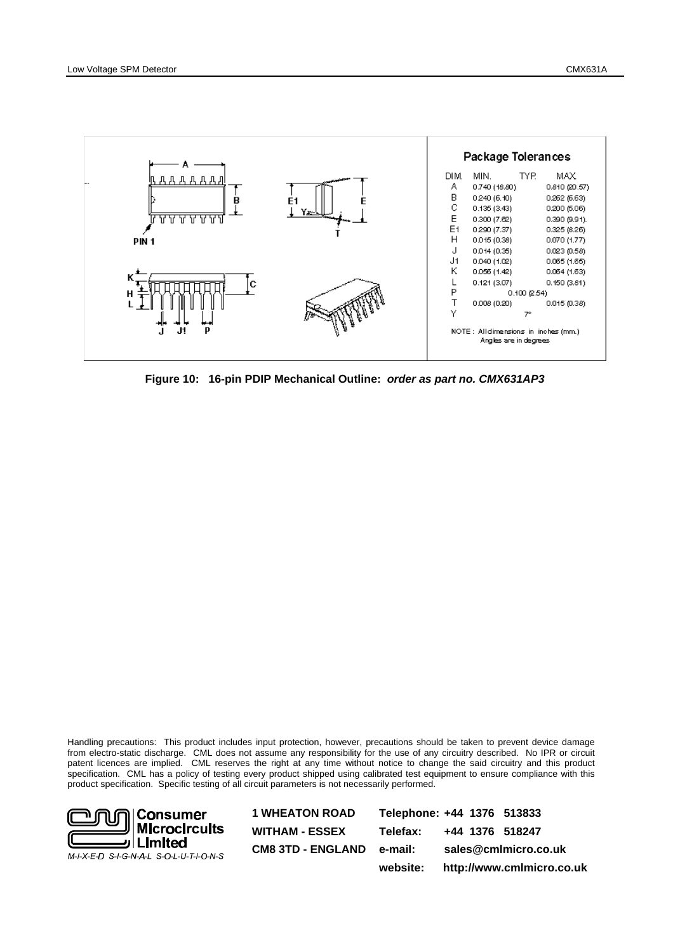

**Figure 10: 16-pin PDIP Mechanical Outline:** *order as part no. CMX631AP3*

Handling precautions: This product includes input protection, however, precautions should be taken to prevent device damage from electro-static discharge. CML does not assume any responsibility for the use of any circuitry described. No IPR or circuit patent licences are implied. CML reserves the right at any time without notice to change the said circuitry and this product specification. CML has a policy of testing every product shipped using calibrated test equipment to ensure compliance with this product specification. Specific testing of all circuit parameters is not necessarily performed.



**1 WHEATON ROAD WITHAM - ESSEX CM8 3TD - ENGLAND Telephone: +44 1376 513833 Telefax: +44 1376 518247 e-mail: sales@cmlmicro.co.uk website: http://www.cmlmicro.co.uk**